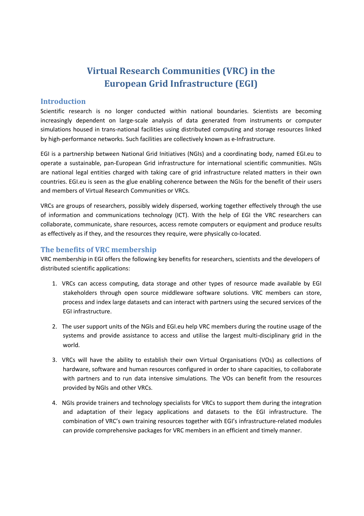# Virtual Research Communities (VRC) in the European Grid Infrastructure (EGI)

#### Introduction

Scientific research is no longer conducted within national boundaries. Scientists are becoming increasingly dependent on large-scale analysis of data generated from instruments or computer simulations housed in trans-national facilities using distributed computing and storage resources linked by high-performance networks. Such facilities are collectively known as e-Infrastructure.

EGI is a partnership between National Grid Initiatives (NGIs) and a coordinating body, named EGI.eu to operate a sustainable, pan-European Grid infrastructure for international scientific communities. NGIs are national legal entities charged with taking care of grid infrastructure related matters in their own countries. EGI.eu is seen as the glue enabling coherence between the NGIs for the benefit of their users and members of Virtual Research Communities or VRCs.

VRCs are groups of researchers, possibly widely dispersed, working together effectively through the use of information and communications technology (ICT). With the help of EGI the VRC researchers can collaborate, communicate, share resources, access remote computers or equipment and produce results as effectively as if they, and the resources they require, were physically co-located.

### The benefits of VRC membership

VRC membership in EGI offers the following key benefits for researchers, scientists and the developers of distributed scientific applications:

- 1. VRCs can access computing, data storage and other types of resource made available by EGI stakeholders through open source middleware software solutions. VRC members can store, process and index large datasets and can interact with partners using the secured services of the EGI infrastructure.
- 2. The user support units of the NGIs and EGI.eu help VRC members during the routine usage of the systems and provide assistance to access and utilise the largest multi-disciplinary grid in the world.
- 3. VRCs will have the ability to establish their own Virtual Organisations (VOs) as collections of hardware, software and human resources configured in order to share capacities, to collaborate with partners and to run data intensive simulations. The VOs can benefit from the resources provided by NGIs and other VRCs.
- 4. NGIs provide trainers and technology specialists for VRCs to support them during the integration and adaptation of their legacy applications and datasets to the EGI infrastructure. The combination of VRC's own training resources together with EGI's infrastructure-related modules can provide comprehensive packages for VRC members in an efficient and timely manner.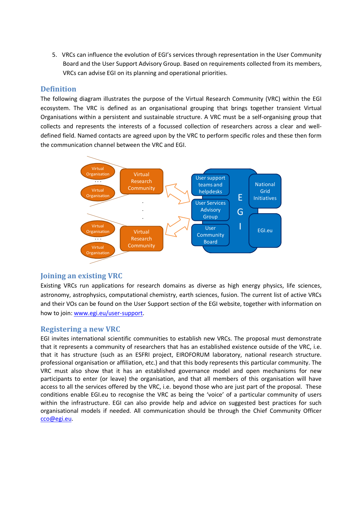5. VRCs can influence the evolution of EGI's services through representation in the User Community Board and the User Support Advisory Group. Based on requirements collected from its members, VRCs can advise EGI on its planning and operational priorities.

## Definition

The following diagram illustrates the purpose of the Virtual Research Community (VRC) within the EGI ecosystem. The VRC is defined as an organisational grouping that brings together transient Virtual Organisations within a persistent and sustainable structure. A VRC must be a self-organising group that collects and represents the interests of a focussed collection of researchers across a clear and welldefined field. Named contacts are agreed upon by the VRC to perform specific roles and these then form the communication channel between the VRC and EGI.



## Joining an existing VRC

Existing VRCs run applications for research domains as diverse as high energy physics, life sciences, astronomy, astrophysics, computational chemistry, earth sciences, fusion. The current list of active VRCs and their VOs can be found on the User Support section of the EGI website, together with information on how to join: www.egi.eu/user-support.

## Registering a new VRC

EGI invites international scientific communities to establish new VRCs. The proposal must demonstrate that it represents a community of researchers that has an established existence outside of the VRC, i.e. that it has structure (such as an ESFRI project, EIROFORUM laboratory, national research structure. professional organisation or affiliation, etc.) and that this body represents this particular community. The VRC must also show that it has an established governance model and open mechanisms for new participants to enter (or leave) the organisation, and that all members of this organisation will have access to all the services offered by the VRC, i.e. beyond those who are just part of the proposal. These conditions enable EGI.eu to recognise the VRC as being the 'voice' of a particular community of users within the infrastructure. EGI can also provide help and advice on suggested best practices for such organisational models if needed. All communication should be through the Chief Community Officer cco@egi.eu.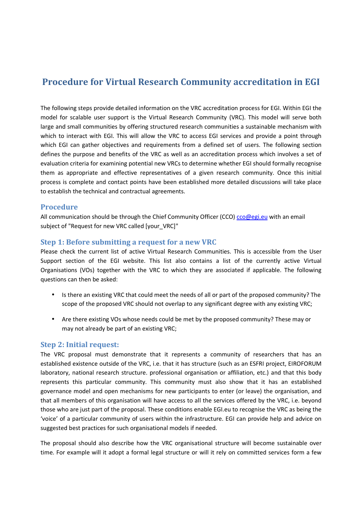## Procedure for Virtual Research Community accreditation in EGI

The following steps provide detailed information on the VRC accreditation process for EGI. Within EGI the model for scalable user support is the Virtual Research Community (VRC). This model will serve both large and small communities by offering structured research communities a sustainable mechanism with which to interact with EGI. This will allow the VRC to access EGI services and provide a point through which EGI can gather objectives and requirements from a defined set of users. The following section defines the purpose and benefits of the VRC as well as an accreditation process which involves a set of evaluation criteria for examining potential new VRCs to determine whether EGI should formally recognise them as appropriate and effective representatives of a given research community. Once this initial process is complete and contact points have been established more detailed discussions will take place to establish the technical and contractual agreements.

#### Procedure

All communication should be through the Chief Community Officer (CCO) cco@egi.eu with an email subject of "Request for new VRC called [your\_VRC]"

#### Step 1: Before submitting a request for a new VRC

Please check the current list of active Virtual Research Communities. This is accessible from the User Support section of the EGI website. This list also contains a list of the currently active Virtual Organisations (VOs) together with the VRC to which they are associated if applicable. The following questions can then be asked:

- Is there an existing VRC that could meet the needs of all or part of the proposed community? The scope of the proposed VRC should not overlap to any significant degree with any existing VRC;
- Are there existing VOs whose needs could be met by the proposed community? These may or may not already be part of an existing VRC;

#### Step 2: Initial request:

The VRC proposal must demonstrate that it represents a community of researchers that has an established existence outside of the VRC, i.e. that it has structure (such as an ESFRI project, EIROFORUM laboratory, national research structure. professional organisation or affiliation, etc.) and that this body represents this particular community. This community must also show that it has an established governance model and open mechanisms for new participants to enter (or leave) the organisation, and that all members of this organisation will have access to all the services offered by the VRC, i.e. beyond those who are just part of the proposal. These conditions enable EGI.eu to recognise the VRC as being the 'voice' of a particular community of users within the infrastructure. EGI can provide help and advice on suggested best practices for such organisational models if needed.

The proposal should also describe how the VRC organisational structure will become sustainable over time. For example will it adopt a formal legal structure or will it rely on committed services form a few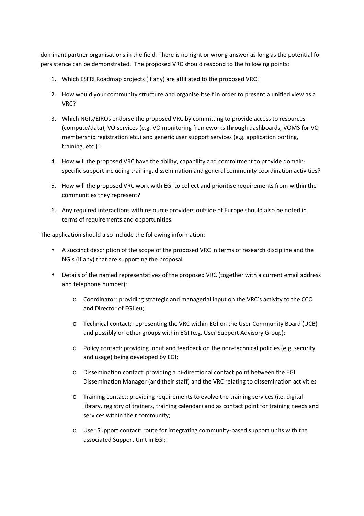dominant partner organisations in the field. There is no right or wrong answer as long as the potential for persistence can be demonstrated. The proposed VRC should respond to the following points:

- 1. Which ESFRI Roadmap projects (if any) are affiliated to the proposed VRC?
- 2. How would your community structure and organise itself in order to present a unified view as a VRC?
- 3. Which NGIs/EIROs endorse the proposed VRC by committing to provide access to resources (compute/data), VO services (e.g. VO monitoring frameworks through dashboards, VOMS for VO membership registration etc.) and generic user support services (e.g. application porting, training, etc.)?
- 4. How will the proposed VRC have the ability, capability and commitment to provide domainspecific support including training, dissemination and general community coordination activities?
- 5. How will the proposed VRC work with EGI to collect and prioritise requirements from within the communities they represent?
- 6. Any required interactions with resource providers outside of Europe should also be noted in terms of requirements and opportunities.

The application should also include the following information:

- A succinct description of the scope of the proposed VRC in terms of research discipline and the NGIs (if any) that are supporting the proposal.
- Details of the named representatives of the proposed VRC (together with a current email address and telephone number):
	- $\circ$  Coordinator: providing strategic and managerial input on the VRC's activity to the CCO and Director of EGI.eu;
	- o Technical contact: representing the VRC within EGI on the User Community Board (UCB) and possibly on other groups within EGI (e.g. User Support Advisory Group);
	- o Policy contact: providing input and feedback on the non-technical policies (e.g. security and usage) being developed by EGI;
	- $\circ$  Dissemination contact: providing a bi-directional contact point between the EGI Dissemination Manager (and their staff) and the VRC relating to dissemination activities
	- o Training contact: providing requirements to evolve the training services (i.e. digital library, registry of trainers, training calendar) and as contact point for training needs and services within their community;
	- o User Support contact: route for integrating community-based support units with the associated Support Unit in EGI;